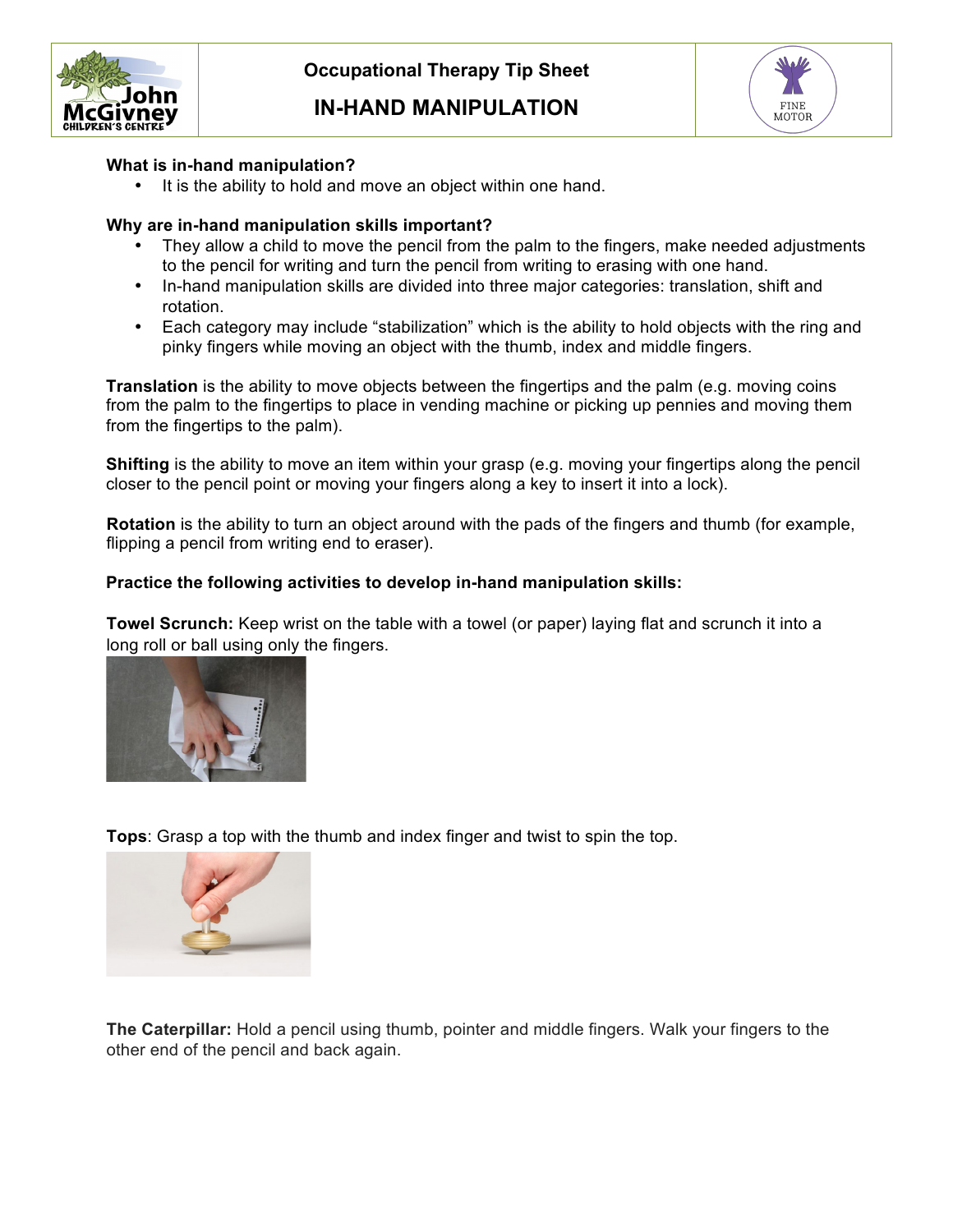

## **IN-HAND MANIPULATION**



### **What is in-hand manipulation?**

 $\bullet$ It is the ability to hold and move an object within one hand.

### **Why are in-hand manipulation skills important?**

- They allow a child to move the pencil from the palm to the fingers, make needed adjustments to the pencil for writing and turn the pencil from writing to erasing with one hand.
- In-hand manipulation skills are divided into three major categories: translation, shift and rotation.
- Each category may include "stabilization" which is the ability to hold objects with the ring and pinky fingers while moving an object with the thumb, index and middle fingers.

 **Translation** is the ability to move objects between the fingertips and the palm (e.g. moving coins from the fingertips to the palm). from the palm to the fingertips to place in vending machine or picking up pennies and moving them

 **Shifting** is the ability to move an item within your grasp (e.g. moving your fingertips along the pencil closer to the pencil point or moving your fingers along a key to insert it into a lock).

 **Rotation** is the ability to turn an object around with the pads of the fingers and thumb (for example, flipping a pencil from writing end to eraser).

#### **Practice the following activities to develop in-hand manipulation skills:**

 **Towel Scrunch:** Keep wrist on the table with a towel (or paper) laying flat and scrunch it into a long roll or ball using only the fingers.



**Tops**: Grasp a top with the thumb and index finger and twist to spin the top.



 **The Caterpillar:** Hold a pencil using thumb, pointer and middle fingers. Walk your fingers to the other end of the pencil and back again.